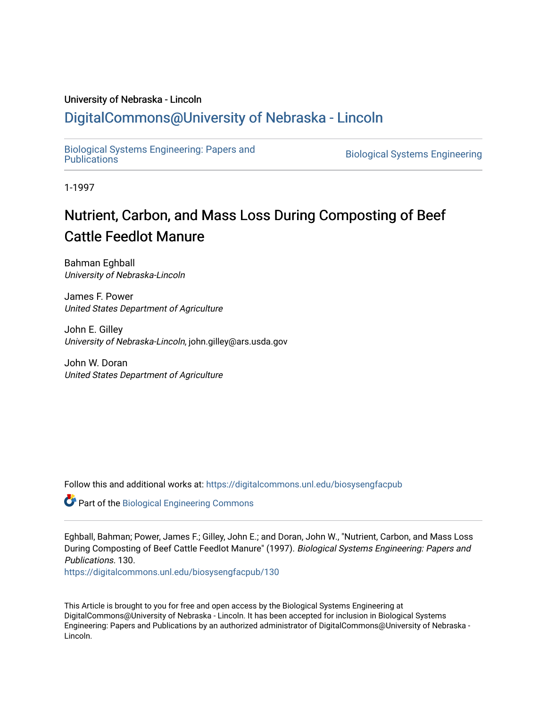### University of Nebraska - Lincoln

# [DigitalCommons@University of Nebraska - Lincoln](https://digitalcommons.unl.edu/)

[Biological Systems Engineering: Papers and](https://digitalcommons.unl.edu/biosysengfacpub) 

**Biological Systems Engineering** 

1-1997

# Nutrient, Carbon, and Mass Loss During Composting of Beef Cattle Feedlot Manure

Bahman Eghball University of Nebraska-Lincoln

James F. Power United States Department of Agriculture

John E. Gilley University of Nebraska-Lincoln, john.gilley@ars.usda.gov

John W. Doran United States Department of Agriculture

Follow this and additional works at: [https://digitalcommons.unl.edu/biosysengfacpub](https://digitalcommons.unl.edu/biosysengfacpub?utm_source=digitalcommons.unl.edu%2Fbiosysengfacpub%2F130&utm_medium=PDF&utm_campaign=PDFCoverPages) 

Part of the [Biological Engineering Commons](http://network.bepress.com/hgg/discipline/230?utm_source=digitalcommons.unl.edu%2Fbiosysengfacpub%2F130&utm_medium=PDF&utm_campaign=PDFCoverPages)

Eghball, Bahman; Power, James F.; Gilley, John E.; and Doran, John W., "Nutrient, Carbon, and Mass Loss During Composting of Beef Cattle Feedlot Manure" (1997). Biological Systems Engineering: Papers and Publications. 130.

[https://digitalcommons.unl.edu/biosysengfacpub/130](https://digitalcommons.unl.edu/biosysengfacpub/130?utm_source=digitalcommons.unl.edu%2Fbiosysengfacpub%2F130&utm_medium=PDF&utm_campaign=PDFCoverPages) 

This Article is brought to you for free and open access by the Biological Systems Engineering at DigitalCommons@University of Nebraska - Lincoln. It has been accepted for inclusion in Biological Systems Engineering: Papers and Publications by an authorized administrator of DigitalCommons@University of Nebraska - Lincoln.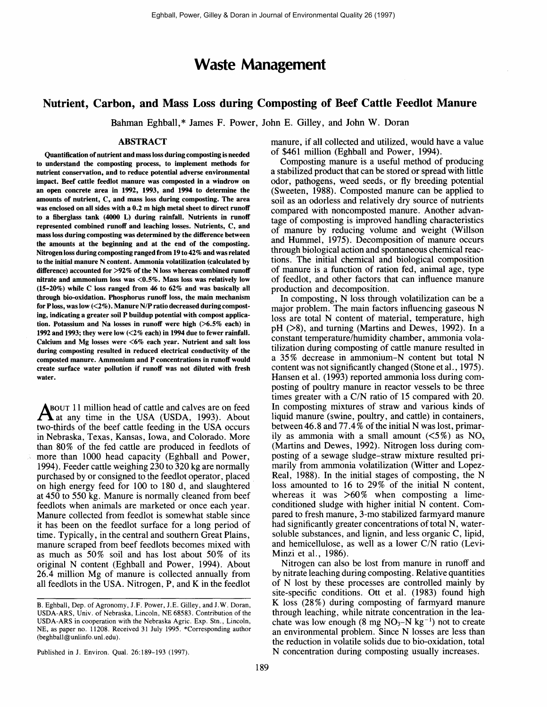## Waste Management

## Nutrient, Carbon, and Mass Loss during Composting of Beef Cattle Feedlot Manure

Bahman Eghball,\* James F. Power, John E. Gilley, and John W. Doran

#### ABSTRACT

Quantification of nutrient and mass loss during composting is needed to understand the composting process, to implement methods for nutrient conservation, and to reduce potential adverse environmental impact. Beef cattle feedlot manure was composted in a windrow on an open concrete area in 1992, 1993, and 1994 to determine the amounts of nutrient, C, and mass loss during composting. The area was enclosed on all sides with a 0.2 m high metal sheet to direct runoff to a fiberglass tank (4000 L) during rainfall. Nutrients in runoff represented combined runoff and leaching losses. Nutrients, C, and massloss during composting was determined by the difference between the amounts at the beginning and at the end of the composting. Nitrogen loss during composting ranged from 19 to 42% and was related to the initial manure N content. Ammonia volatilization (calculated by difference) accounted for  $>92\%$  of the N loss whereas combined runoff nitrate and ammonium loss was <0.5%. Mass loss was relatively low  $(15-20\%)$  while C loss ranged from 46 to 62% and was basically all through bio-oxidation. Phosphorus runoff loss, the main mechanism for Ploss, was low  $\left(\langle 2\% \right)$ . Manure N/P ratio decreased during composting, indicating a greater soil P buildup potential with compost application. Potassium and Na losses in runoff were high  $($  >6.5% each) in 1992 and 1993; they were low  $(2\%$  each) in 1994 due to fewer rainfall. Calcium and Mg losses were <6% each year. Nutrient and salt loss during composting resulted in reduced electrical conductivity of the composted manure. Ammonium and P concentrations in runoff would create surface water pollution if runoff was not diluted with fresh water.

BOUT 11 million head of cattle and calves are on feed  $\mathbf A$  at any time in the USA (USDA, 1993). About two-thirds of the beef cattle feeding in the USA occurs in Nebraska, Texas, Kansas, Iowa, and Colorado. More than 80% of the fed cattle are produced in feedlots of more than 1000 head capacity (Eghball and Power, 1994). Feeder cattle weighing 230 to 320 kg are normally purchased by or consigned to the feedlot operator, placed on high energy feed for 100 to 180 d, and slaughtered at 450 to 550 kg. Manure is normally cleaned from beef feedlots when animals are marketed or once each year. Manure collected from feedlot is somewhat stable since it has been on the feedlot surface for a long period of time. Typically, in the central and southern Great Plains, manure scraped from beef feedlots becomes mixed with as much as 50% soil and has lost about 50% of its original N content (Eghball and Power, 1994). About 26.4 million Mg of manure is collected annually from all feedlots in the USA. Nitrogen, P, and K in the feedlot manure, if all collected and utilized, would have a value of \$461 million (Eghball and Power, 1994).

Composting manure is a useful method of producing a stabilized product that can be stored or spread with little odor, pathogens, weed seeds, or fly breeding potential (Sweeten, 1988). Composted manure can be applied to soil as an odorless and relatively dry source of nutrients compared with noncomposted manure. Another advantage of composting is improved handling characteristics of manure by reducing volume and weight (Willson and Hummel, 1975). Decomposition of manure occurs through biological action and spontaneous chemical reactions. The initial chemical and biological composition of manure is a function of ration fed, animal age, type of feedlot, and other factors that can influence manure production and decomposition.

In composting, N loss through volatilization can be a major problem. The main factors influencing gaseous N loss are total N content of material, temperature, high  $pH$  ( $>8$ ), and turning (Martins and Dewes, 1992). In a constant temperature/humidity chamber, ammonia volatilization during composting of cattle manure resulted in a 35% decrease in ammonium-N content but total N content was not significantly changed (Stone et al., 1975). Hansen et al. (1993) reported ammonia loss during composting of poultry manure in reactor vessels to be three times greater with a C/N ratio of 15 compared with 20. In composting mixtures of straw and various kinds of liquid manure (swine, poultry, and cattle) in containers, between 46.8 and 77.4% of the initial N was lost, primarily as ammonia with a small amount  $(5\%)$  as NO<sub>x</sub> (Martins and Dewes, 1992). Nitrogen loss during composting of a sewage sludge-straw mixture resulted primarily from ammonia volatilization (Witter and Lopez-Real, 1988). In the initial stages of composting, the N loss amounted to 16 to 29% of the initial N content, whereas it was  $>60\%$  when composting a limeconditioned sludge with higher initial N content. Compared to fresh manure , 3-mo stabilized farmyard manure had significantly greater concentrations of total N, watersoluble substances, and lignin, and less organic C, lipid, and hemicellulose, as well as a lower C/N ratio (Levi-Minzi et al., 1986).

Nitrogen can also be lost from manure in runoff and by nitrate leaching during composting. Relative quantities of N lost by these processes are controlled mainly by site-specific conditions. Ott et al. (1983) found high K loss (28%) during composting of farmyard manure through leaching, while nitrate concentration in the leachate was low enough (8 mg  $NO<sub>3</sub>-N kg<sup>-1</sup>$ ) not to create an environmental problem. Since N losses are less than the reduction in volatile solids due to bio-oxidation, total N concentration during composting usually increases.

B. Eghball, Dep. of Agronomy, J.F. Power, J.E. Gilley, and J.W. Doran, USDA-ARS, Univ. of Nebraska, Lincoln, NE 68583. Contribution of the USDA-ARS in cooperation with the Nebraska Agric. Exp. Stn., Lincoln, NE, as paper no. 11208. Received 31 July 1995. \*Corresponding author (beghball@unlinfo.unl.edu).

Published in J. Environ. Qual. 26:189-193 (1997).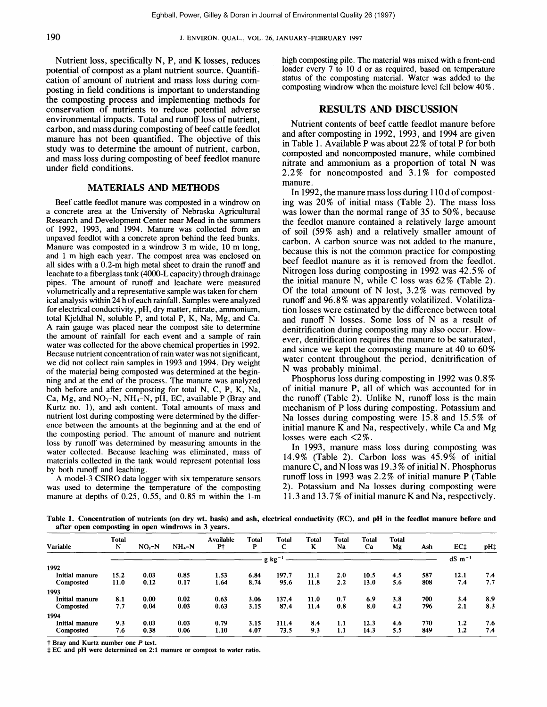Nutrient loss, specifically  $N$ ,  $P$ , and  $K$  losses, reduces potential of compost as a plant nutrient source. Quantification of amount of nutrient and mass loss during composting in field conditions is important to understanding the composting process and implementing methods for conservation of nutrients to reduce potential adverse environmental impacts. Total and runoff loss of nutrient, carbon, and mass during composting of beef cattle feedlot manure has not been quantified. The objective of this study was to determine the amount of nutrient, carbon, and mass loss during composting of beef feedlot manure under field conditions.

#### MATERIALS AND METHODS

Beef cattle feedlot manure was composted in a windrow on a concrete area at the University of Nebraska Agricultural Research and Development Center near Mead in the summers of 1992, 1993, and 1994. Manure was collected from an unpaved feedlot with a concrete apron behind the feed bunks. Manure was composted in a windrow 3 m wide, 10 m long, and 1 m high each year. The compost area was enclosed on all sides with a 0.2-m high metal sheet to drain the runoff and leachate to a fiberglass tank (4000-L capacity) through drainage pipes. The amount of runoff and leachate were measured volumetrically and a representative samplewas taken for chemical analysis within24 h of each rainfall. Sampleswere analyzed for electrical conductivity, pH, dry matter, nitrate, ammonium, total Kjeldhal N, soluble P, and total P, K, Na, Mg, and Ca. A rain gauge was placed near the compost site to determine the amount of rainfall for each event and a sample of rain water was collected for the above chemical properties in 1992. Because nutrient concentration of rain water was not significant, we did not collect rain samples in 1993 and 1994. Dry weight of the material being composted was determined at the beginning and at the end of the process. The manure was analyzed both before and after composting for total N, C, P, K, Na, Ca, Mg, and  $NO<sub>3</sub>-N$ , NH<sub>4</sub>-N, pH, EC, available P (Bray and Kurtz no. 1), and ash content. Total amounts of mass and nutrient lost during composting were determined by the difference between the amounts at the beginning and at the end of the composting period. The amount of manure and nutrient loss by runoff was determined by measuring amounts in the water collected. Because leaching was eliminated, mass of materials collected in the tank would represent potential loss by both runoff and leaching.

A model-3 CSIRO data logger with six temperature sensors was used to determine the temperature of the composting manure at depths of 0.25, 0.55, and 0.85 m within the 1-m high composting pile. The material was mixed with a front-end loader every 7 to 10 d or as required, based on temperature status of the composting material. Water was added to the composting windrow when the moisture level fell below 40%.

#### RESULTS AND DISCUSSION

Nutrient contents of beef cattle feedlot manure before and after composting in 1992, 1993, and 1994 are given in Table 1. Available P was about  $22\%$  of total P for both composted and noncomposted manure, while combined nitrate and ammonium as a proportion of total N was 2.2% for noncomposted and 3. 1% for composted manure.

In 1992, the manure mass loss during  $110d$  of composting was  $20\%$  of initial mass (Table 2). The mass loss was lower than the normal range of 35 to 50%, because the feedlot manure contained a relatively large amount of soil (59% ash) and a relatively smaller amount of carbon. A carbon source was not added to the manure, because this is not the common practice for composting beef feedlot manure as it is removed from the feedlot. Nitrogen loss during composting in 1992 was 42.5% of the initial manure N, while C loss was  $62\%$  (Table 2). Of the total amount of N lost,  $3.2\%$  was removed by runoff and 96.8% was apparently volatilized. Volatilization losses were estimated by the difference between total and runoff N losses. Some loss of N as a result of denitrification during composting may also occur. However, denitrification requires the manure to be saturated, and since we kept the composting manure at 40 to 60 % water content throughout the period, denitrification of N was probably minimal.

Phosphorus loss during composting in 1992 was 0.8 % of initial manure P, all of which was accounted for in the runoff (Table 2). Unlike N, runoff loss is the main mechanism of P loss during composting. Potassium and Na losses during composting were 15.8 and 15.5% of initial manure  $K$  and  $Na$ , respectively, while  $Ca$  and  $Mg$ losses were each <2 %.

In 1993, manure mass loss during composting was 14.9% (Table 2). Carbon loss was 45.9% of initial manure C, and N loss was  $19.3\%$  of initial N. Phosphorus runoff loss in 1993 was 2.2 % of initial manure P (Table 2). Potassium and Na losses during composting were 11.3 and 13.7% of initial manure K and Na, respectively.

Table 1. Concentration of nutrients (on dry wt. basis) and ash, electrical conductivity (EC), and pH in the feedlot manure before and after open composting in open windrows in 3 years.

| Variable              | <b>Total</b><br>N | $NO3-N$ | $NH_{4}-N$ | Available<br>P† | Total<br>P | <b>Total</b><br>C | <b>Total</b><br>K | <b>Total</b><br>Na | Total<br>Ca | <b>Total</b><br>Mg | Ash | EC‡            | pH‡ |
|-----------------------|-------------------|---------|------------|-----------------|------------|-------------------|-------------------|--------------------|-------------|--------------------|-----|----------------|-----|
|                       |                   |         |            |                 |            | $g kg^{-1}$       |                   |                    |             |                    |     | $dS \, m^{-1}$ |     |
| 1992                  |                   |         |            |                 |            |                   |                   |                    |             |                    |     |                |     |
| Initial manure        | 15.2              | 0.03    | 0.85       | 1.53            | 6.84       | 197.7             | 11.1              | 2.0                | 10.5        | 4.5                | 587 | 12.1           | 7.4 |
| Composted             | 11.0              | 0.12    | 0.17       | 1.64            | 8.74       | 95.6              | 11.8              | 2.2                | 13.0        | 5.6                | 808 | 7.4            | 7.7 |
| 1993                  |                   |         |            |                 |            |                   |                   |                    |             |                    |     |                |     |
| Initial manure        | 8.1               | 0.00    | 0.02       | 0.63            | 3.06       | 137.4             | 11.0              | 0.7                | 6.9         | 3.8                | 700 | 3.4            | 8.9 |
| Composted             | 7.7               | 0.04    | 0.03       | 0.63            | 3.15       | 87.4              | 11.4              | 0.8                | 8.0         | 4.2                | 796 | 2.1            | 8.3 |
| 1994                  |                   |         |            |                 |            |                   |                   |                    |             |                    |     |                |     |
| <b>Initial manure</b> | 9.3               | 0.03    | 0.03       | 0.79            | 3.15       | 111.4             | 8.4               | 1.1                | 12.3        | 4.6                | 770 | 1.2            | 7.6 |
| Composted             | 7.6               | 0.38    | 0.06       | 1.10            | 4.07       | 73.5              | 9.3               | 1.1                | 14.3        | 5.5                | 849 | 1.2            | 7.4 |

f Bray and Kurtz number one P test.<br>‡EC and pH were determined on 2:1 manure or compost to water ratio.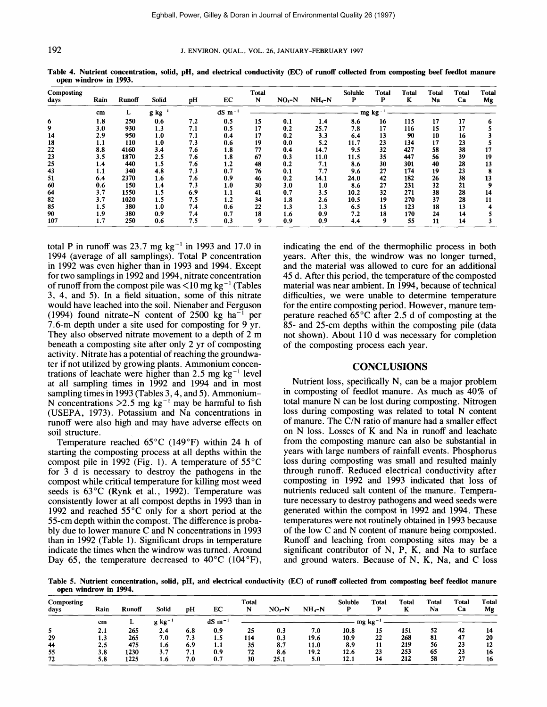#### 192 J. ENVIRON. QUAL., VOL. 26, JANUARY-FEBRUARY 1997

| Composting<br>days | Rain | Runoff                              | <b>Solid</b> | pH  | EC  | <b>Total</b><br>N | $NO3-N$ | $NH_{-}N$ | Soluble<br>P | <b>Total</b><br>P | <b>Total</b><br>K | <b>Total</b><br>Na | <b>Total</b><br>Ca | <b>Total</b><br>Mg |  |  |  |
|--------------------|------|-------------------------------------|--------------|-----|-----|-------------------|---------|-----------|--------------|-------------------|-------------------|--------------------|--------------------|--------------------|--|--|--|
|                    | cm   | $dS$ m <sup>-1</sup><br>$g kg^{-1}$ |              |     |     |                   |         |           |              | $mg \ kg^{-1}$    |                   |                    |                    |                    |  |  |  |
| 6                  | 1.8  | 250                                 | 0.6          | 7.2 | 0.5 | 15                | 0.1     | 1.4       | 8.6          | 16                | 115               | 17                 | 17                 | 6                  |  |  |  |
| 9                  | 3.0  | 930                                 | 1.3          | 7.1 | 0.5 | 17                | 0.2     | 25.7      | 7.8          | 17                | 116               | 15                 | 17                 |                    |  |  |  |
| 14                 | 2.9  | 950                                 | 1.0          | 7.1 | 0.4 | 17                | 0.2     | 3.3       | 6.4          | 13                | 90                | 10                 | 16                 |                    |  |  |  |
| 18                 | 1.1  | 110                                 | 1.0          | 7.3 | 0.6 | 19                | 0.0     | 5.2       | 11.7         | 23                | 134               | 17                 | 23                 |                    |  |  |  |
| 22                 | 8.8  | 4160                                | 3.4          | 7.6 | 1.8 | 77                | 0.4     | 14.7      | 9.5          | 32                | 427               | 58                 | 38                 | 17                 |  |  |  |
| 23                 | 3.5  | 1870                                | 2.5          | 7.6 | 1.8 | 67                | 0.3     | 11.0      | 11.5         | 35                | 447               | 56                 | 39                 | 19                 |  |  |  |
| 25                 | 1.4  | 440                                 | 1,5          | 7.6 | 1.2 | 48                | 0.2     | 7.1       | 8.6          | 30                | 301               | 40                 | 28                 | 13                 |  |  |  |
| 43                 | 1.1  | 340                                 | 4.8          | 7.3 | 0.7 | 76                | 0.1     | 7.7       | 9.6          | 27                | 174               | 19                 | 23                 |                    |  |  |  |
| 51                 | 6.4  | 2370                                | 1.6          | 7.6 | 0.9 | 46                | 0.2     | 14.1      | 24.0         | 42                | 182               | 26                 | 38                 | 13                 |  |  |  |
| 60                 | 0.6  | 150                                 | 1.4          | 7.3 | 1.0 | 30                | 3.0     | 1.0       | 8.6          | 27                | 231               | 32                 | 21                 |                    |  |  |  |
| 64                 | 3.7  | 1550                                | 1.5          | 6.9 | 1.1 | 41                | 0.7     | 3.5       | 10.2         | 32                | 271               | 38                 | 28                 | 14                 |  |  |  |
| 82                 | 3.7  | 1020                                | 1.5          | 7.5 | 1.2 | 34                | 1.8     | 2.6       | 10.5         | 19                | 270               | 37                 | 28                 | 11                 |  |  |  |
| 85                 | 1.5  | 380                                 | 1.0          | 7.4 | 0.6 | 22                | 1.3     | 1.3       | 6.5          | 15                | 123               | 18                 | 13                 |                    |  |  |  |
| 90                 | 1.9  | 380                                 | 0.9          | 7.4 | 0.7 | 18                | 1.6     | 0.9       | 7.2          | 18                | 170               | 24                 | 14                 |                    |  |  |  |
| 107                | 1.7  | 250                                 | 0.6          | 7.5 | 0.3 | 9                 | 0.9     | 0.9       | 4.4          | 9                 | 55                | 11                 | 14                 |                    |  |  |  |

Table 4. Nutrient concentration, solid, pH, and electrical conductivity (EC) of runoff collected from composting beef feedlot manure open windrow in 1993.

total P in runoff was 23.7 mg  $kg^{-1}$  in 1993 and 17.0 in 1994 (average of all samplings). Total P concentration in 1992 was even higher than in 1993 and 1994. Except for two samplings in 1992 and 1994, nitrate concentration of runoff from the compost pile was  $\leq 10$  mg kg<sup>-1</sup> (Tables 3, 4, and 5). In a field situation, some of this nitrate would have leached into the soil. Nienaber and Ferguson (1994) found nitrate-N content of  $2500 \text{ kg}$  ha<sup>-1</sup> per 7.6-m depth under a site used for composting for 9 yr. They also observed nitrate movement to a depth of 2 m beneath a composting site after only 2 yr of composting activity. Nitrate has a potential of reaching the groundwater if not utilized by growing plants. Ammonium concentrations of leachate were higher than 2.5 mg  $kg^{-1}$  level at all sampling times in 1992 and 1994 and in most sampling times in 1993 (Tables 3, 4, and 5). Ammonium-N concentrations  $>2.5$  mg kg<sup>-1</sup> may be harmful to fish (USEPA, 1973). Potassium and Na concentrations in runoff were also high and may have adverse effects on soil structure.

Temperature reached  $65^{\circ}$ C (149°F) within 24 h of starting the composting process at all depths within the compost pile in 1992 (Fig. 1). A temperature of 55°C for 3 d is necessary to destroy the pathogens in the compost while critical temperature for killing most weed seeds is 63°C (Rynk et al., 1992). Temperature was consistently lower at all compost depths in 1993 than in 1992 and reached 55°C only for a short period at the 55-cm depth within the compost. The difference is probably due to lower manure C and N concentrations in 1993 than in 1992 (Table 1). Significant drops in temperature indicate the times when the windrow was turned. Around Day 65, the temperature decreased to  $40^{\circ}$ C (104 $^{\circ}$ F),

indicating the end of the thermophilic process in both years. After this, the windrow was no longer turned, and the material was allowed to cure for an additional 45 d. After this period, the temperature of the composted material was near ambient. In 1994, because of technical difficulties, we were unable to determine temperature for the entire composting period. However, manure temperature reached 65°C after 2.5 d of composting at the 85- and 25-cm depths within the composting pile (data not shown). About 110 d was necessary for completion of the composting process each year.

#### **CONCLUSIONS**

Nutrient loss, specifically N, can be a major problem in composting of feedlot manure. As much as 40% of total manure  $\bar{N}$  can be lost during composting. Nitrogen loss during composting was related to total N content of manure. The C/N ratio of manure had a smaller effect on N loss. Losses of K and Na in runoff and leachate from the composting manure can also be substantial in years with large numbers of rainfall events. Phosphorus loss during composting was small and resulted mainly through runoff. Reduced electrical conductivity after composting in 1992 and 1993 indicated that loss of nutrients reduced salt content of the manure. Temperature necessary to destroy pathogens and weed seeds were generated within the compost in 1992 and 1994. These temperatures were not routinely obtained in 1993 because of the low C and N content of manure being composted. Runoff and leaching from composting sites may be a significant contributor of N, P, K, and Na to surface and ground waters. Because of  $N$ ,  $K$ ,  $Na$ , and  $C$  loss

Table 5. Nutrient concentration, solid, pH, and electrical conductivity (EC) of runoff collected from composting beef feedlot manure open windrow in 1994.

| Composting<br>days | Rain | <b>Runoff</b> | Solid            | pH  | EC                   | Total<br>N | $NO3-N$        | $NH_{4}-N$ | <b>Soluble</b> | Total | <b>Total</b> | <b>Total</b><br>Na | Total<br>Ca | <b>Total</b><br>Mg |
|--------------------|------|---------------|------------------|-----|----------------------|------------|----------------|------------|----------------|-------|--------------|--------------------|-------------|--------------------|
|                    | cm   |               | $g kg^{-1}$      |     | $dS$ m <sup>-1</sup> |            | $mg \ kg^{-1}$ |            |                |       |              |                    |             |                    |
|                    | 2.1  | 265           | 2.4              | 6.8 | 0.9                  | 25         | 0.3            | 7.0        | 10.8           | 15    | 151          | 52                 | 42          |                    |
| 29                 | 1.3  | 265           | 7.0              | 7.3 | 1.5                  | 114        | 0.3            | 19.6       | 10.9           | 22    | 268          | 81                 | 47          | 20                 |
| 44                 | 2.5  | 475           | 1.6 <sub>1</sub> | 6.9 | 1.1                  | 35         | 8.7            | 11.0       | 8.9            |       | 219          | 56                 | 23          | 12                 |
| 55                 | 3.8  | 1230          | 3.7              | 7.1 | 0.9                  | 72         | 8.6            | 19.2       | 12.6           | 23    | 253          | 65                 | 23          | 16                 |
| 72                 | 5.8  | 1225          | 1.6              | 7.0 | 0.7                  | 30         | 25.1           | 5.0        | 12.1           | 14    | 212          | 58                 | 27          | 16                 |